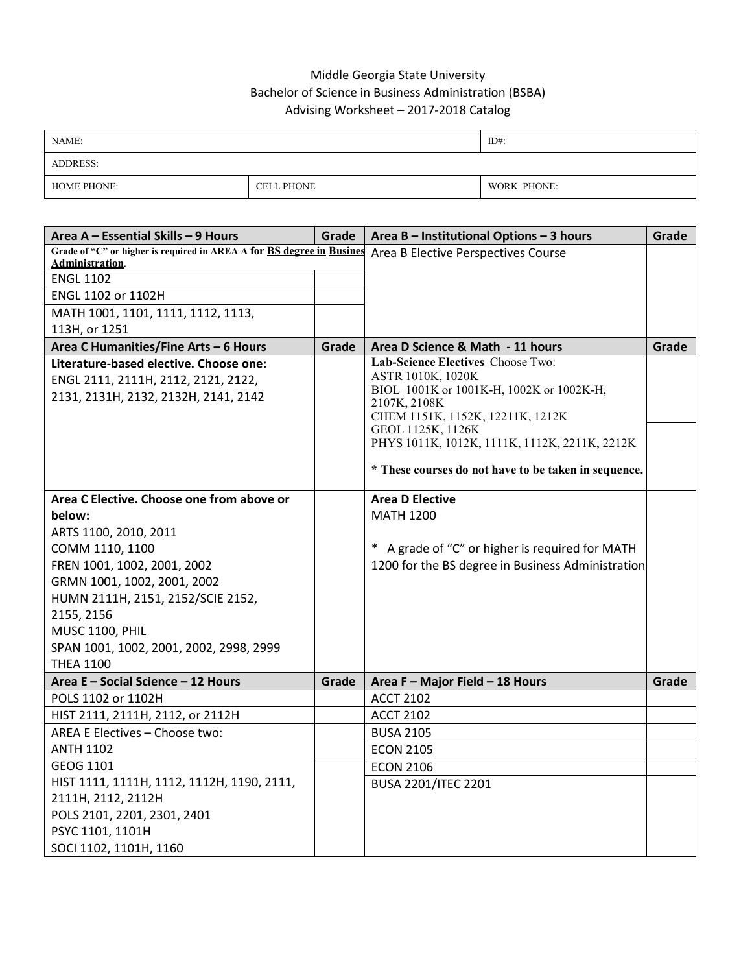## Middle Georgia State University Bachelor of Science in Business Administration (BSBA) Advising Worksheet – 2017-2018 Catalog

| NAME:              |                   | $ID#$ :     |
|--------------------|-------------------|-------------|
| <b>ADDRESS:</b>    |                   |             |
| <b>HOME PHONE:</b> | <b>CELL PHONE</b> | WORK PHONE: |

| Area A - Essential Skills - 9 Hours                                   | Grade | Area B - Institutional Options - 3 hours                           | Grade |
|-----------------------------------------------------------------------|-------|--------------------------------------------------------------------|-------|
| Grade of "C" or higher is required in AREA A for BS degree in Busines |       | Area B Elective Perspectives Course                                |       |
| Administration.                                                       |       |                                                                    |       |
| <b>ENGL 1102</b>                                                      |       |                                                                    |       |
| ENGL 1102 or 1102H                                                    |       |                                                                    |       |
| MATH 1001, 1101, 1111, 1112, 1113,                                    |       |                                                                    |       |
| 113H, or 1251                                                         |       |                                                                    |       |
| Area C Humanities/Fine Arts - 6 Hours                                 | Grade | Area D Science & Math - 11 hours                                   | Grade |
| Literature-based elective. Choose one:                                |       | Lab-Science Electives Choose Two:<br>ASTR 1010K, 1020K             |       |
| ENGL 2111, 2111H, 2112, 2121, 2122,                                   |       | BIOL 1001K or 1001K-H, 1002K or 1002K-H,                           |       |
| 2131, 2131H, 2132, 2132H, 2141, 2142                                  |       | 2107K, 2108K                                                       |       |
|                                                                       |       | CHEM 1151K, 1152K, 12211K, 1212K                                   |       |
|                                                                       |       | GEOL 1125K, 1126K<br>PHYS 1011K, 1012K, 1111K, 1112K, 2211K, 2212K |       |
|                                                                       |       |                                                                    |       |
|                                                                       |       | * These courses do not have to be taken in sequence.               |       |
| Area C Elective. Choose one from above or                             |       | <b>Area D Elective</b>                                             |       |
| below:                                                                |       | <b>MATH 1200</b>                                                   |       |
|                                                                       |       |                                                                    |       |
| ARTS 1100, 2010, 2011<br>COMM 1110, 1100                              |       | * A grade of "C" or higher is required for MATH                    |       |
| FREN 1001, 1002, 2001, 2002                                           |       | 1200 for the BS degree in Business Administration                  |       |
| GRMN 1001, 1002, 2001, 2002                                           |       |                                                                    |       |
| HUMN 2111H, 2151, 2152/SCIE 2152,                                     |       |                                                                    |       |
| 2155, 2156                                                            |       |                                                                    |       |
| <b>MUSC 1100, PHIL</b>                                                |       |                                                                    |       |
| SPAN 1001, 1002, 2001, 2002, 2998, 2999                               |       |                                                                    |       |
| <b>THEA 1100</b>                                                      |       |                                                                    |       |
| Area E - Social Science - 12 Hours                                    | Grade | Area F - Major Field - 18 Hours                                    | Grade |
| POLS 1102 or 1102H                                                    |       | <b>ACCT 2102</b>                                                   |       |
| HIST 2111, 2111H, 2112, or 2112H                                      |       | <b>ACCT 2102</b>                                                   |       |
| AREA E Electives - Choose two:                                        |       | <b>BUSA 2105</b>                                                   |       |
| <b>ANTH 1102</b>                                                      |       | <b>ECON 2105</b>                                                   |       |
| GEOG 1101                                                             |       | <b>ECON 2106</b>                                                   |       |
| HIST 1111, 1111H, 1112, 1112H, 1190, 2111,                            |       | <b>BUSA 2201/ITEC 2201</b>                                         |       |
| 2111H, 2112, 2112H                                                    |       |                                                                    |       |
| POLS 2101, 2201, 2301, 2401                                           |       |                                                                    |       |
| PSYC 1101, 1101H                                                      |       |                                                                    |       |
| SOCI 1102, 1101H, 1160                                                |       |                                                                    |       |